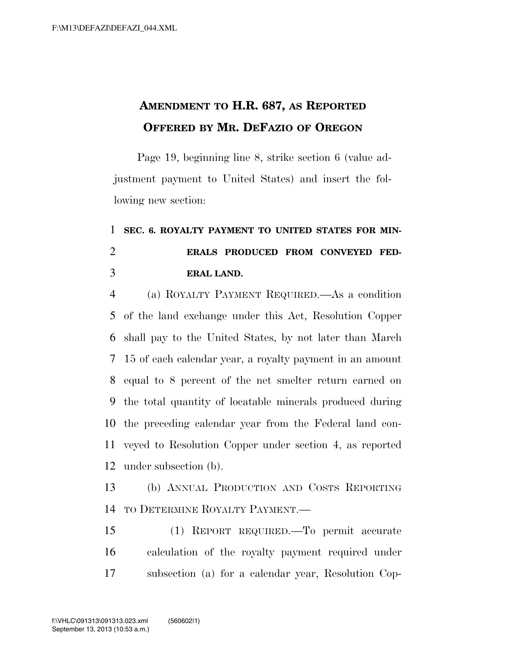## **AMENDMENT TO H.R. 687, AS REPORTED OFFERED BY MR. DEFAZIO OF OREGON**

Page 19, beginning line 8, strike section 6 (value adjustment payment to United States) and insert the following new section:

## **SEC. 6. ROYALTY PAYMENT TO UNITED STATES FOR MIN- ERALS PRODUCED FROM CONVEYED FED-ERAL LAND.**

 (a) ROYALTY PAYMENT REQUIRED.—As a condition of the land exchange under this Act, Resolution Copper shall pay to the United States, by not later than March 15 of each calendar year, a royalty payment in an amount equal to 8 percent of the net smelter return earned on the total quantity of locatable minerals produced during the preceding calendar year from the Federal land con- veyed to Resolution Copper under section 4, as reported under subsection (b).

 (b) ANNUAL PRODUCTION AND COSTS REPORTING TO DETERMINE ROYALTY PAYMENT.—

 (1) REPORT REQUIRED.—To permit accurate calculation of the royalty payment required under subsection (a) for a calendar year, Resolution Cop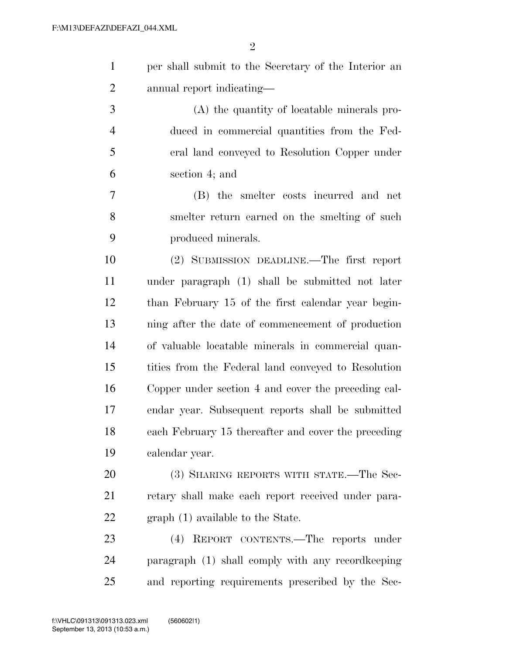| $\mathbf{1}$   | per shall submit to the Secretary of the Interior an |
|----------------|------------------------------------------------------|
| $\overline{2}$ | annual report indicating-                            |
| 3              | (A) the quantity of locatable minerals pro-          |
| $\overline{4}$ | duced in commercial quantities from the Fed-         |
| 5              | eral land conveyed to Resolution Copper under        |
| 6              | section 4; and                                       |
| 7              | (B) the smelter costs incurred and net               |
| 8              | smelter return earned on the smelting of such        |
| 9              | produced minerals.                                   |
| 10             | (2) SUBMISSION DEADLINE.—The first report            |
| 11             | under paragraph (1) shall be submitted not later     |
| 12             | than February 15 of the first calendar year begin-   |
| 13             | ning after the date of commencement of production    |
| 14             | of valuable locatable minerals in commercial quan-   |
| 15             | tities from the Federal land conveyed to Resolution  |
| 16             | Copper under section 4 and cover the preceding cal-  |
| 17             | endar year. Subsequent reports shall be submitted    |
| 18             | each February 15 thereafter and cover the preceding  |
| 19             | calendar year.                                       |
| 20             | (3) SHARING REPORTS WITH STATE.—The Sec-             |
| 21             | retary shall make each report received under para-   |
| 22             | graph (1) available to the State.                    |
| 23             | REPORT CONTENTS.-The reports under<br>(4)            |
| 24             | paragraph (1) shall comply with any record keeping   |
| 25             | and reporting requirements prescribed by the Sec-    |